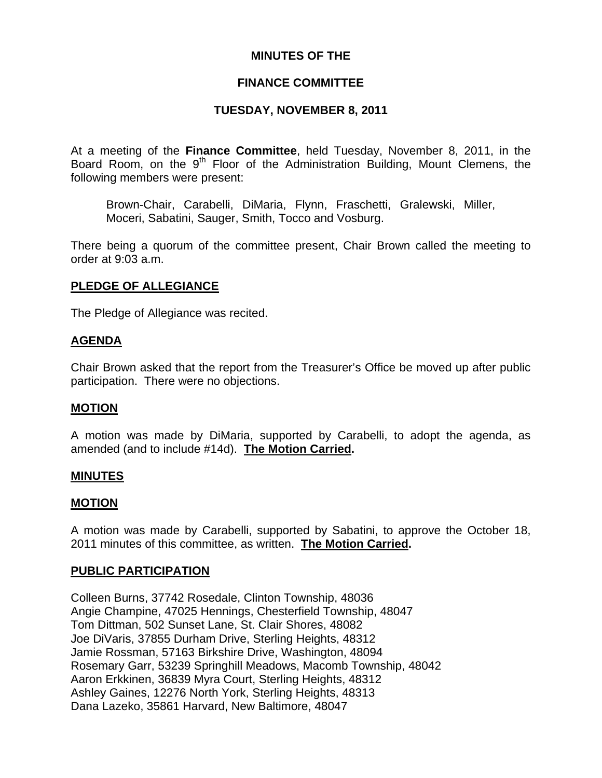### **MINUTES OF THE**

### **FINANCE COMMITTEE**

### **TUESDAY, NOVEMBER 8, 2011**

At a meeting of the **Finance Committee**, held Tuesday, November 8, 2011, in the Board Room, on the  $9<sup>th</sup>$  Floor of the Administration Building, Mount Clemens, the following members were present:

Brown-Chair, Carabelli, DiMaria, Flynn, Fraschetti, Gralewski, Miller, Moceri, Sabatini, Sauger, Smith, Tocco and Vosburg.

There being a quorum of the committee present, Chair Brown called the meeting to order at 9:03 a.m.

### **PLEDGE OF ALLEGIANCE**

The Pledge of Allegiance was recited.

### **AGENDA**

Chair Brown asked that the report from the Treasurer's Office be moved up after public participation. There were no objections.

### **MOTION**

A motion was made by DiMaria, supported by Carabelli, to adopt the agenda, as amended (and to include #14d). **The Motion Carried.** 

### **MINUTES**

#### **MOTION**

A motion was made by Carabelli, supported by Sabatini, to approve the October 18, 2011 minutes of this committee, as written. **The Motion Carried.** 

### **PUBLIC PARTICIPATION**

Colleen Burns, 37742 Rosedale, Clinton Township, 48036 Angie Champine, 47025 Hennings, Chesterfield Township, 48047 Tom Dittman, 502 Sunset Lane, St. Clair Shores, 48082 Joe DiVaris, 37855 Durham Drive, Sterling Heights, 48312 Jamie Rossman, 57163 Birkshire Drive, Washington, 48094 Rosemary Garr, 53239 Springhill Meadows, Macomb Township, 48042 Aaron Erkkinen, 36839 Myra Court, Sterling Heights, 48312 Ashley Gaines, 12276 North York, Sterling Heights, 48313 Dana Lazeko, 35861 Harvard, New Baltimore, 48047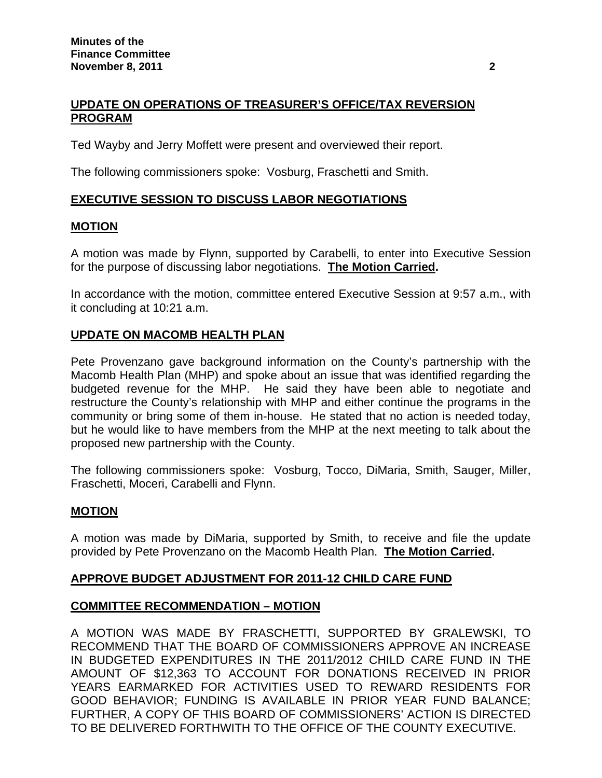# **UPDATE ON OPERATIONS OF TREASURER'S OFFICE/TAX REVERSION PROGRAM**

Ted Wayby and Jerry Moffett were present and overviewed their report.

The following commissioners spoke: Vosburg, Fraschetti and Smith.

## **EXECUTIVE SESSION TO DISCUSS LABOR NEGOTIATIONS**

### **MOTION**

A motion was made by Flynn, supported by Carabelli, to enter into Executive Session for the purpose of discussing labor negotiations. **The Motion Carried.** 

In accordance with the motion, committee entered Executive Session at 9:57 a.m., with it concluding at 10:21 a.m.

## **UPDATE ON MACOMB HEALTH PLAN**

Pete Provenzano gave background information on the County's partnership with the Macomb Health Plan (MHP) and spoke about an issue that was identified regarding the budgeted revenue for the MHP. He said they have been able to negotiate and restructure the County's relationship with MHP and either continue the programs in the community or bring some of them in-house. He stated that no action is needed today, but he would like to have members from the MHP at the next meeting to talk about the proposed new partnership with the County.

The following commissioners spoke: Vosburg, Tocco, DiMaria, Smith, Sauger, Miller, Fraschetti, Moceri, Carabelli and Flynn.

### **MOTION**

A motion was made by DiMaria, supported by Smith, to receive and file the update provided by Pete Provenzano on the Macomb Health Plan. **The Motion Carried.** 

### **APPROVE BUDGET ADJUSTMENT FOR 2011-12 CHILD CARE FUND**

### **COMMITTEE RECOMMENDATION – MOTION**

A MOTION WAS MADE BY FRASCHETTI, SUPPORTED BY GRALEWSKI, TO RECOMMEND THAT THE BOARD OF COMMISSIONERS APPROVE AN INCREASE IN BUDGETED EXPENDITURES IN THE 2011/2012 CHILD CARE FUND IN THE AMOUNT OF \$12,363 TO ACCOUNT FOR DONATIONS RECEIVED IN PRIOR YEARS EARMARKED FOR ACTIVITIES USED TO REWARD RESIDENTS FOR GOOD BEHAVIOR; FUNDING IS AVAILABLE IN PRIOR YEAR FUND BALANCE; FURTHER, A COPY OF THIS BOARD OF COMMISSIONERS' ACTION IS DIRECTED TO BE DELIVERED FORTHWITH TO THE OFFICE OF THE COUNTY EXECUTIVE.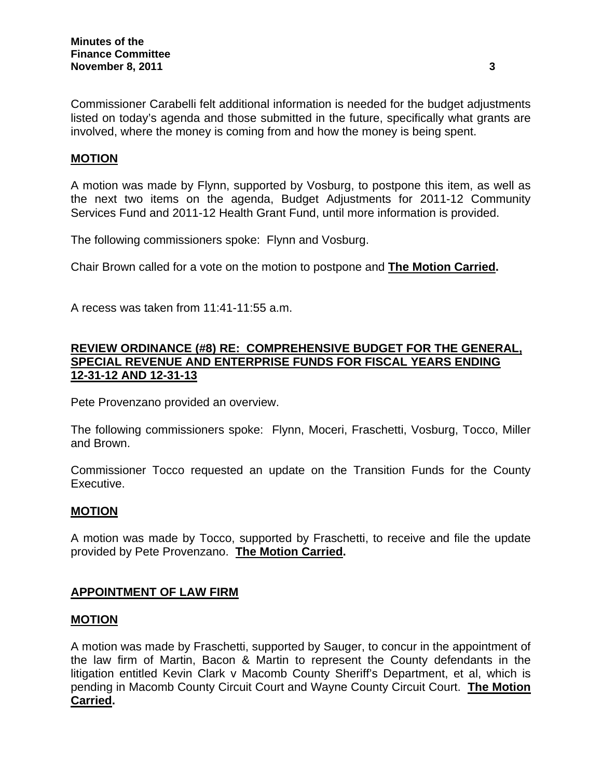Commissioner Carabelli felt additional information is needed for the budget adjustments listed on today's agenda and those submitted in the future, specifically what grants are involved, where the money is coming from and how the money is being spent.

## **MOTION**

A motion was made by Flynn, supported by Vosburg, to postpone this item, as well as the next two items on the agenda, Budget Adjustments for 2011-12 Community Services Fund and 2011-12 Health Grant Fund, until more information is provided.

The following commissioners spoke: Flynn and Vosburg.

Chair Brown called for a vote on the motion to postpone and **The Motion Carried.** 

A recess was taken from 11:41-11:55 a.m.

## **REVIEW ORDINANCE (#8) RE: COMPREHENSIVE BUDGET FOR THE GENERAL, SPECIAL REVENUE AND ENTERPRISE FUNDS FOR FISCAL YEARS ENDING 12-31-12 AND 12-31-13**

Pete Provenzano provided an overview.

The following commissioners spoke: Flynn, Moceri, Fraschetti, Vosburg, Tocco, Miller and Brown.

Commissioner Tocco requested an update on the Transition Funds for the County Executive.

## **MOTION**

A motion was made by Tocco, supported by Fraschetti, to receive and file the update provided by Pete Provenzano. **The Motion Carried.**

### **APPOINTMENT OF LAW FIRM**

### **MOTION**

A motion was made by Fraschetti, supported by Sauger, to concur in the appointment of the law firm of Martin, Bacon & Martin to represent the County defendants in the litigation entitled Kevin Clark v Macomb County Sheriff's Department, et al, which is pending in Macomb County Circuit Court and Wayne County Circuit Court. **The Motion Carried.**